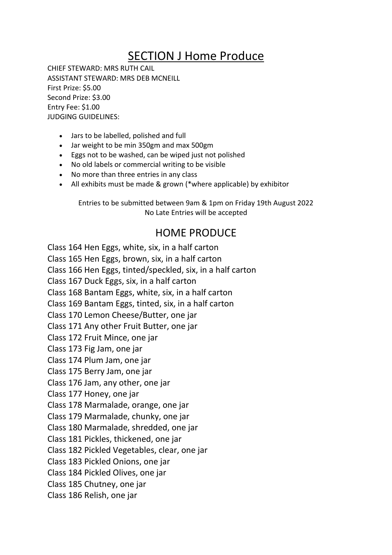## SECTION J Home Produce

CHIEF STEWARD: MRS RUTH CAIL ASSISTANT STEWARD: MRS DEB MCNEILL First Prize: \$5.00 Second Prize: \$3.00 Entry Fee: \$1.00 JUDGING GUIDELINES:

- Jars to be labelled, polished and full
- Jar weight to be min 350gm and max 500gm
- Eggs not to be washed, can be wiped just not polished
- No old labels or commercial writing to be visible
- No more than three entries in any class
- All exhibits must be made & grown (\*where applicable) by exhibitor

Entries to be submitted between 9am & 1pm on Friday 19th August 2022 No Late Entries will be accepted

## HOME PRODUCE

Class 164 Hen Eggs, white, six, in a half carton Class 165 Hen Eggs, brown, six, in a half carton Class 166 Hen Eggs, tinted/speckled, six, in a half carton Class 167 Duck Eggs, six, in a half carton Class 168 Bantam Eggs, white, six, in a half carton Class 169 Bantam Eggs, tinted, six, in a half carton Class 170 Lemon Cheese/Butter, one jar Class 171 Any other Fruit Butter, one jar Class 172 Fruit Mince, one jar Class 173 Fig Jam, one jar Class 174 Plum Jam, one jar Class 175 Berry Jam, one jar Class 176 Jam, any other, one jar Class 177 Honey, one jar Class 178 Marmalade, orange, one jar Class 179 Marmalade, chunky, one jar Class 180 Marmalade, shredded, one jar Class 181 Pickles, thickened, one jar Class 182 Pickled Vegetables, clear, one jar Class 183 Pickled Onions, one jar Class 184 Pickled Olives, one jar Class 185 Chutney, one jar Class 186 Relish, one jar